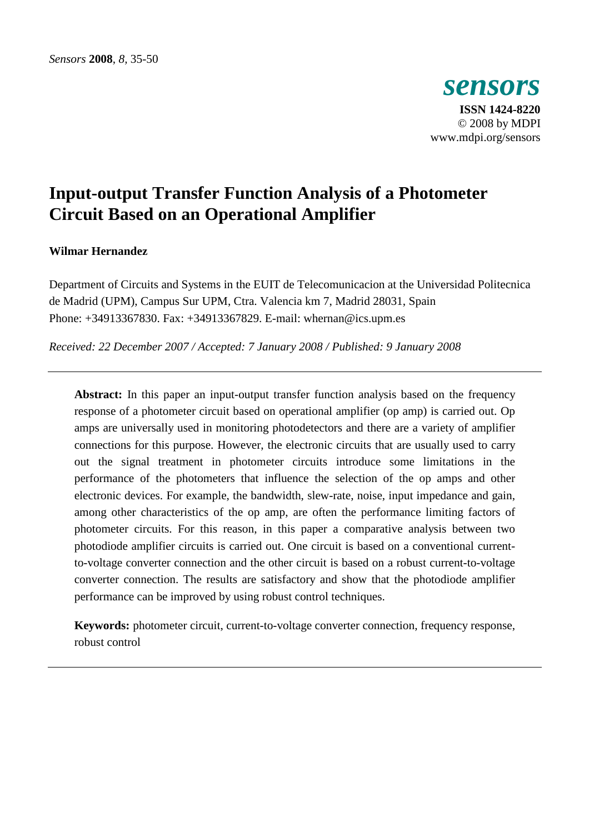

# **Input-output Transfer Function Analysis of a Photometer Circuit Based on an Operational Amplifier**

# **Wilmar Hernandez**

Department of Circuits and Systems in the EUIT de Telecomunicacion at the Universidad Politecnica de Madrid (UPM), Campus Sur UPM, Ctra. Valencia km 7, Madrid 28031, Spain Phone: +34913367830. Fax: +34913367829. E-mail: whernan@ics.upm.es

*Received: 22 December 2007 / Accepted: 7 January 2008 / Published: 9 January 2008* 

**Abstract:** In this paper an input-output transfer function analysis based on the frequency response of a photometer circuit based on operational amplifier (op amp) is carried out. Op amps are universally used in monitoring photodetectors and there are a variety of amplifier connections for this purpose. However, the electronic circuits that are usually used to carry out the signal treatment in photometer circuits introduce some limitations in the performance of the photometers that influence the selection of the op amps and other electronic devices. For example, the bandwidth, slew-rate, noise, input impedance and gain, among other characteristics of the op amp, are often the performance limiting factors of photometer circuits. For this reason, in this paper a comparative analysis between two photodiode amplifier circuits is carried out. One circuit is based on a conventional currentto-voltage converter connection and the other circuit is based on a robust current-to-voltage converter connection. The results are satisfactory and show that the photodiode amplifier performance can be improved by using robust control techniques.

**Keywords:** photometer circuit, current-to-voltage converter connection, frequency response, robust control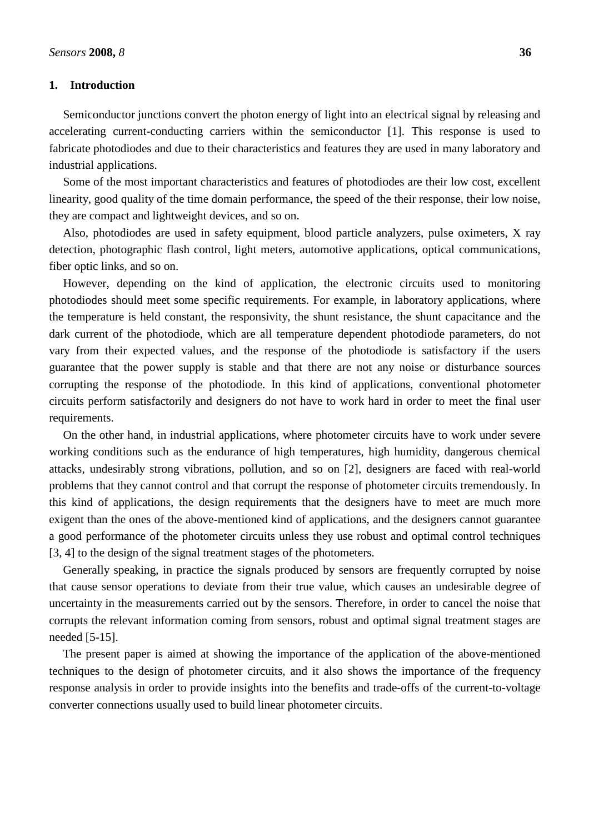## **1. Introduction**

Semiconductor junctions convert the photon energy of light into an electrical signal by releasing and accelerating current-conducting carriers within the semiconductor [1]. This response is used to fabricate photodiodes and due to their characteristics and features they are used in many laboratory and industrial applications.

Some of the most important characteristics and features of photodiodes are their low cost, excellent linearity, good quality of the time domain performance, the speed of the their response, their low noise, they are compact and lightweight devices, and so on.

Also, photodiodes are used in safety equipment, blood particle analyzers, pulse oximeters, X ray detection, photographic flash control, light meters, automotive applications, optical communications, fiber optic links, and so on.

However, depending on the kind of application, the electronic circuits used to monitoring photodiodes should meet some specific requirements. For example, in laboratory applications, where the temperature is held constant, the responsivity, the shunt resistance, the shunt capacitance and the dark current of the photodiode, which are all temperature dependent photodiode parameters, do not vary from their expected values, and the response of the photodiode is satisfactory if the users guarantee that the power supply is stable and that there are not any noise or disturbance sources corrupting the response of the photodiode. In this kind of applications, conventional photometer circuits perform satisfactorily and designers do not have to work hard in order to meet the final user requirements.

On the other hand, in industrial applications, where photometer circuits have to work under severe working conditions such as the endurance of high temperatures, high humidity, dangerous chemical attacks, undesirably strong vibrations, pollution, and so on [2], designers are faced with real-world problems that they cannot control and that corrupt the response of photometer circuits tremendously. In this kind of applications, the design requirements that the designers have to meet are much more exigent than the ones of the above-mentioned kind of applications, and the designers cannot guarantee a good performance of the photometer circuits unless they use robust and optimal control techniques [3, 4] to the design of the signal treatment stages of the photometers.

Generally speaking, in practice the signals produced by sensors are frequently corrupted by noise that cause sensor operations to deviate from their true value, which causes an undesirable degree of uncertainty in the measurements carried out by the sensors. Therefore, in order to cancel the noise that corrupts the relevant information coming from sensors, robust and optimal signal treatment stages are needed [5-15].

The present paper is aimed at showing the importance of the application of the above-mentioned techniques to the design of photometer circuits, and it also shows the importance of the frequency response analysis in order to provide insights into the benefits and trade-offs of the current-to-voltage converter connections usually used to build linear photometer circuits.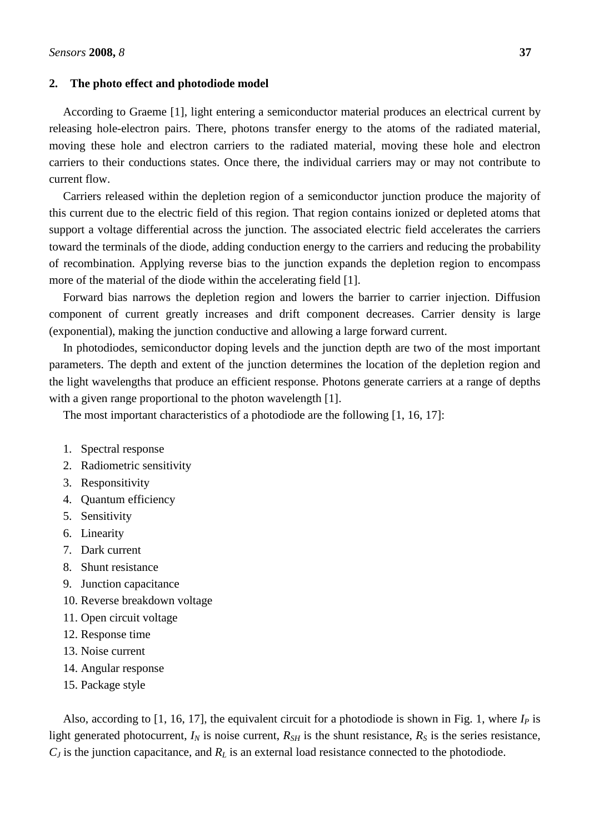## **2. The photo effect and photodiode model**

According to Graeme [1], light entering a semiconductor material produces an electrical current by releasing hole-electron pairs. There, photons transfer energy to the atoms of the radiated material, moving these hole and electron carriers to the radiated material, moving these hole and electron carriers to their conductions states. Once there, the individual carriers may or may not contribute to current flow.

Carriers released within the depletion region of a semiconductor junction produce the majority of this current due to the electric field of this region. That region contains ionized or depleted atoms that support a voltage differential across the junction. The associated electric field accelerates the carriers toward the terminals of the diode, adding conduction energy to the carriers and reducing the probability of recombination. Applying reverse bias to the junction expands the depletion region to encompass more of the material of the diode within the accelerating field [1].

Forward bias narrows the depletion region and lowers the barrier to carrier injection. Diffusion component of current greatly increases and drift component decreases. Carrier density is large (exponential), making the junction conductive and allowing a large forward current.

In photodiodes, semiconductor doping levels and the junction depth are two of the most important parameters. The depth and extent of the junction determines the location of the depletion region and the light wavelengths that produce an efficient response. Photons generate carriers at a range of depths with a given range proportional to the photon wavelength [1].

The most important characteristics of a photodiode are the following [1, 16, 17]:

- 1. Spectral response
- 2. Radiometric sensitivity
- 3. Responsitivity
- 4. Quantum efficiency
- 5. Sensitivity
- 6. Linearity
- 7. Dark current
- 8. Shunt resistance
- 9. Junction capacitance
- 10. Reverse breakdown voltage
- 11. Open circuit voltage
- 12. Response time
- 13. Noise current
- 14. Angular response
- 15. Package style

Also, according to [1, 16, 17], the equivalent circuit for a photodiode is shown in Fig. 1, where  $I_p$  is light generated photocurrent,  $I_N$  is noise current,  $R_{SH}$  is the shunt resistance,  $R_S$  is the series resistance, *CJ* is the junction capacitance, and *RL* is an external load resistance connected to the photodiode.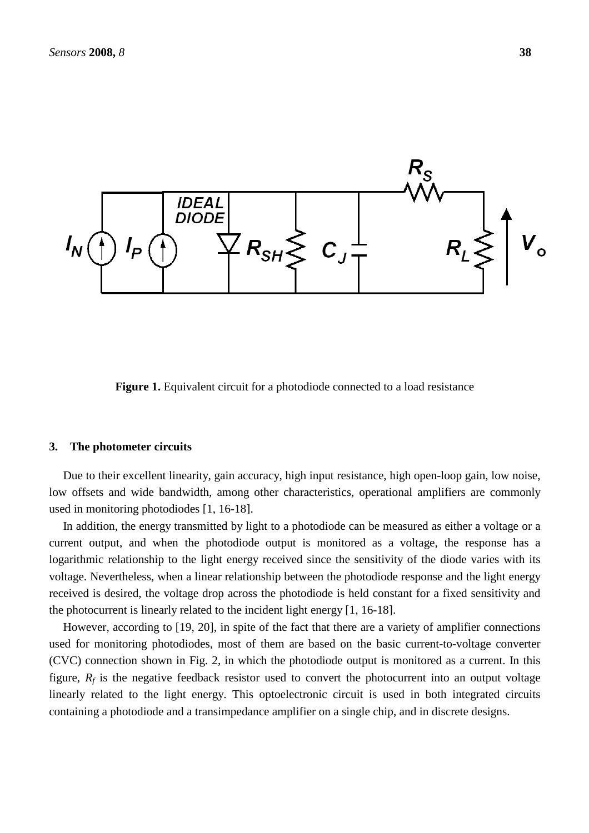

**Figure 1.** Equivalent circuit for a photodiode connected to a load resistance

#### **3. The photometer circuits**

Due to their excellent linearity, gain accuracy, high input resistance, high open-loop gain, low noise, low offsets and wide bandwidth, among other characteristics, operational amplifiers are commonly used in monitoring photodiodes [1, 16-18].

In addition, the energy transmitted by light to a photodiode can be measured as either a voltage or a current output, and when the photodiode output is monitored as a voltage, the response has a logarithmic relationship to the light energy received since the sensitivity of the diode varies with its voltage. Nevertheless, when a linear relationship between the photodiode response and the light energy received is desired, the voltage drop across the photodiode is held constant for a fixed sensitivity and the photocurrent is linearly related to the incident light energy [1, 16-18].

However, according to [19, 20], in spite of the fact that there are a variety of amplifier connections used for monitoring photodiodes, most of them are based on the basic current-to-voltage converter (CVC) connection shown in Fig. 2, in which the photodiode output is monitored as a current. In this figure,  $R_f$  is the negative feedback resistor used to convert the photocurrent into an output voltage linearly related to the light energy. This optoelectronic circuit is used in both integrated circuits containing a photodiode and a transimpedance amplifier on a single chip, and in discrete designs.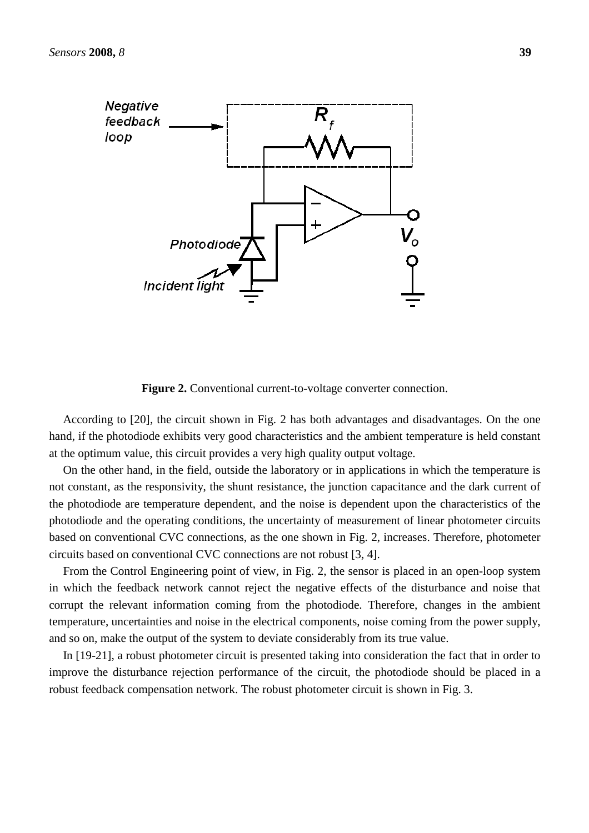

**Figure 2.** Conventional current-to-voltage converter connection.

According to [20], the circuit shown in Fig. 2 has both advantages and disadvantages. On the one hand, if the photodiode exhibits very good characteristics and the ambient temperature is held constant at the optimum value, this circuit provides a very high quality output voltage.

On the other hand, in the field, outside the laboratory or in applications in which the temperature is not constant, as the responsivity, the shunt resistance, the junction capacitance and the dark current of the photodiode are temperature dependent, and the noise is dependent upon the characteristics of the photodiode and the operating conditions, the uncertainty of measurement of linear photometer circuits based on conventional CVC connections, as the one shown in Fig. 2, increases. Therefore, photometer circuits based on conventional CVC connections are not robust [3, 4].

From the Control Engineering point of view, in Fig. 2, the sensor is placed in an open-loop system in which the feedback network cannot reject the negative effects of the disturbance and noise that corrupt the relevant information coming from the photodiode. Therefore, changes in the ambient temperature, uncertainties and noise in the electrical components, noise coming from the power supply, and so on, make the output of the system to deviate considerably from its true value.

In [19-21], a robust photometer circuit is presented taking into consideration the fact that in order to improve the disturbance rejection performance of the circuit, the photodiode should be placed in a robust feedback compensation network. The robust photometer circuit is shown in Fig. 3.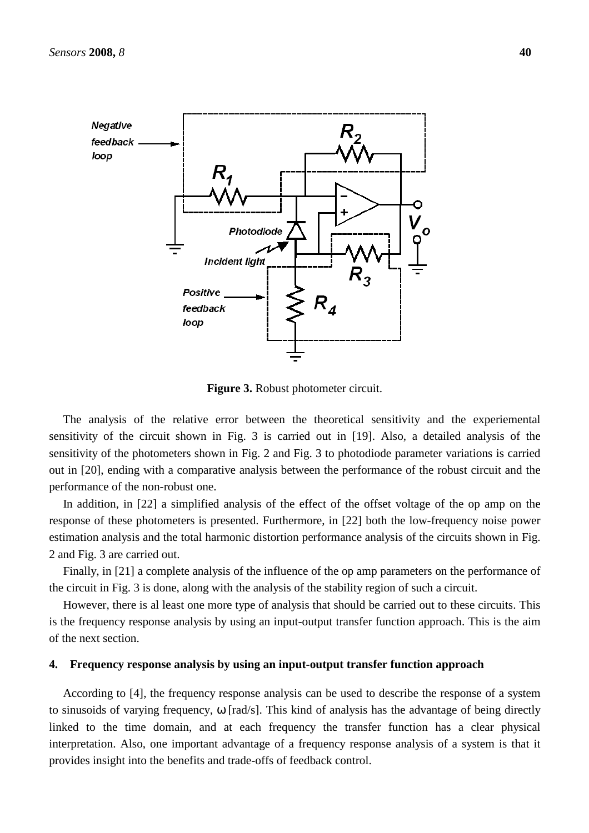

**Figure 3.** Robust photometer circuit.

The analysis of the relative error between the theoretical sensitivity and the experiemental sensitivity of the circuit shown in Fig. 3 is carried out in [19]. Also, a detailed analysis of the sensitivity of the photometers shown in Fig. 2 and Fig. 3 to photodiode parameter variations is carried out in [20], ending with a comparative analysis between the performance of the robust circuit and the performance of the non-robust one.

In addition, in [22] a simplified analysis of the effect of the offset voltage of the op amp on the response of these photometers is presented. Furthermore, in [22] both the low-frequency noise power estimation analysis and the total harmonic distortion performance analysis of the circuits shown in Fig. 2 and Fig. 3 are carried out.

Finally, in [21] a complete analysis of the influence of the op amp parameters on the performance of the circuit in Fig. 3 is done, along with the analysis of the stability region of such a circuit.

However, there is al least one more type of analysis that should be carried out to these circuits. This is the frequency response analysis by using an input-output transfer function approach. This is the aim of the next section.

#### **4. Frequency response analysis by using an input-output transfer function approach**

According to [4], the frequency response analysis can be used to describe the response of a system to sinusoids of varying frequency,  $\omega$  [rad/s]. This kind of analysis has the advantage of being directly linked to the time domain, and at each frequency the transfer function has a clear physical interpretation. Also, one important advantage of a frequency response analysis of a system is that it provides insight into the benefits and trade-offs of feedback control.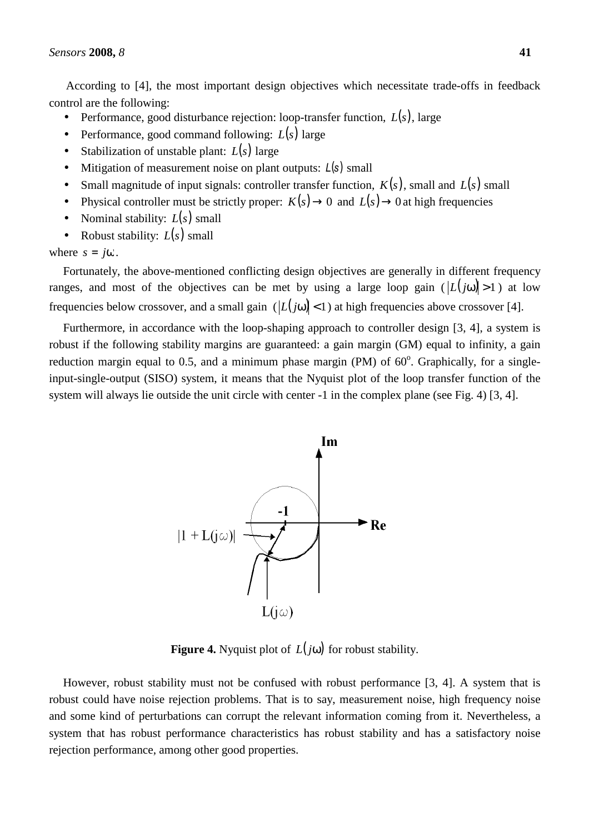According to [4], the most important design objectives which necessitate trade-offs in feedback control are the following:

- Performance, good disturbance rejection: loop-transfer function,  $L(s)$ , large
- Performance, good command following:  $L(s)$  large
- Stabilization of unstable plant: *L*(*s*) large
- Mitigation of measurement noise on plant outputs:  $L(s)$  small
- Small magnitude of input signals: controller transfer function,  $K(s)$ , small and  $L(s)$  small
- Physical controller must be strictly proper:  $K(s) \to 0$  and  $L(s) \to 0$  at high frequencies
- Nominal stability:  $L(s)$  small
- Robust stability:  $L(s)$  small

where  $s = j\omega$ .

Fortunately, the above-mentioned conflicting design objectives are generally in different frequency ranges, and most of the objectives can be met by using a large loop gain  $(L(j\omega) > 1)$  at low frequencies below crossover, and a small gain  $(|L(j\omega)| < 1)$  at high frequencies above crossover [4].

Furthermore, in accordance with the loop-shaping approach to controller design [3, 4], a system is robust if the following stability margins are guaranteed: a gain margin (GM) equal to infinity, a gain reduction margin equal to 0.5, and a minimum phase margin (PM) of  $60^\circ$ . Graphically, for a singleinput-single-output (SISO) system, it means that the Nyquist plot of the loop transfer function of the system will always lie outside the unit circle with center -1 in the complex plane (see Fig. 4) [3, 4].



**Figure 4.** Nyquist plot of  $L(j\omega)$  for robust stability.

However, robust stability must not be confused with robust performance [3, 4]. A system that is robust could have noise rejection problems. That is to say, measurement noise, high frequency noise and some kind of perturbations can corrupt the relevant information coming from it. Nevertheless, a system that has robust performance characteristics has robust stability and has a satisfactory noise rejection performance, among other good properties.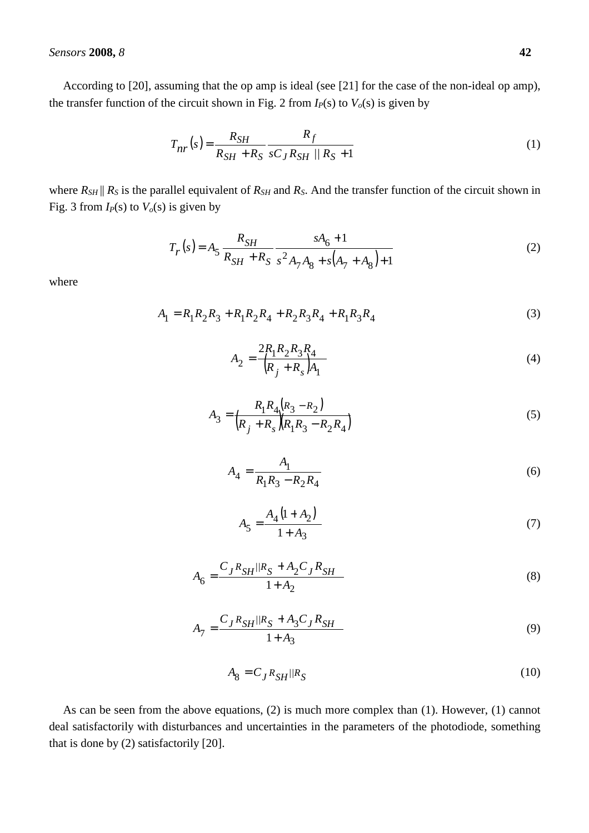## *Sensors* **2008,** *8* **42**

According to [20], assuming that the op amp is ideal (see [21] for the case of the non-ideal op amp), the transfer function of the circuit shown in Fig. 2 from  $I_P(s)$  to  $V_o(s)$  is given by

$$
T_{nr}(s) = \frac{R_{SH}}{R_{SH} + R_S} \frac{R_f}{sC_J R_{SH} / R_S + 1}
$$
 (1)

where  $R_{SH}$  ||  $R_S$  is the parallel equivalent of  $R_{SH}$  and  $R_S$ . And the transfer function of the circuit shown in Fig. 3 from  $I_P(s)$  to  $V_o(s)$  is given by

$$
T_r(s) = A_5 \frac{R_{SH}}{R_{SH} + R_S} \frac{sA_6 + 1}{s^2 A_7 A_8 + s(A_7 + A_8) + 1}
$$
 (2)

where

$$
A_1 = R_1 R_2 R_3 + R_1 R_2 R_4 + R_2 R_3 R_4 + R_1 R_3 R_4
$$
\n(3)

$$
A_2 = \frac{2R_1R_2R_3R_4}{(R_j + R_s)A_1}
$$
\n(4)

$$
A_3 = \frac{R_1 R_4 (R_3 - R_2)}{(R_j + R_s)(R_1 R_3 - R_2 R_4)}
$$
\n(5)

$$
A_4 = \frac{A_1}{R_1 R_3 - R_2 R_4} \tag{6}
$$

$$
A_5 = \frac{A_4 (1 + A_2)}{1 + A_3} \tag{7}
$$

$$
A_6 = \frac{C_J R_{SH} / R_S + A_2 C_J R_{SH}}{1 + A_2} \tag{8}
$$

$$
A_7 = \frac{C_J R_{SH} / R_S + A_3 C_J R_{SH}}{1 + A_3} \tag{9}
$$

$$
A_8 = C_J R_{SH} / R_S \tag{10}
$$

As can be seen from the above equations, (2) is much more complex than (1). However, (1) cannot deal satisfactorily with disturbances and uncertainties in the parameters of the photodiode, something that is done by (2) satisfactorily [20].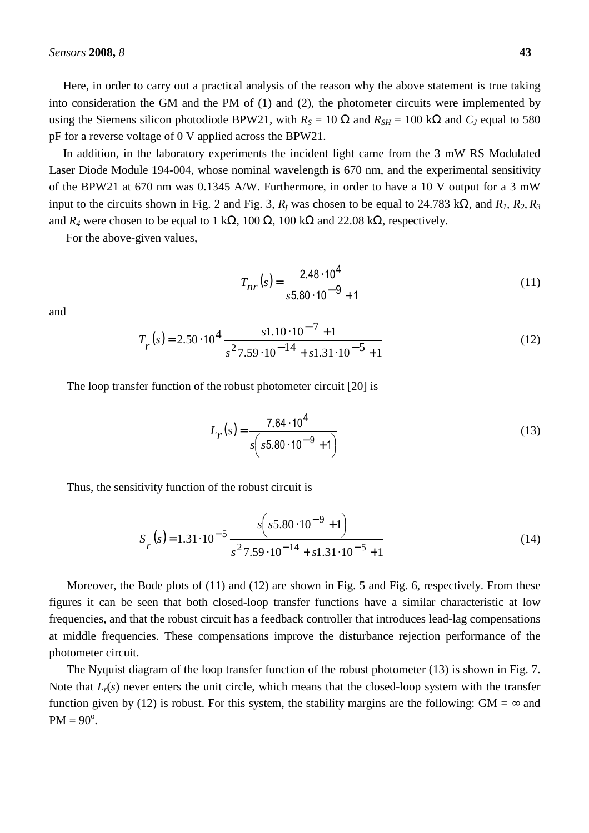Here, in order to carry out a practical analysis of the reason why the above statement is true taking into consideration the GM and the PM of (1) and (2), the photometer circuits were implemented by using the Siemens silicon photodiode BPW21, with  $R_S = 10 \Omega$  and  $R_{SH} = 100 \text{ k}\Omega$  and  $C_J$  equal to 580 pF for a reverse voltage of 0 V applied across the BPW21.

In addition, in the laboratory experiments the incident light came from the 3 mW RS Modulated Laser Diode Module 194-004, whose nominal wavelength is 670 nm, and the experimental sensitivity of the BPW21 at 670 nm was 0.1345 A/W. Furthermore, in order to have a 10 V output for a 3 mW input to the circuits shown in Fig. 2 and Fig. 3,  $R_f$  was chosen to be equal to 24.783 k $\Omega$ , and  $R_I$ ,  $R_2$ ,  $R_3$ and  $R_4$  were chosen to be equal to 1 k $\Omega$ , 100  $\Omega$ , 100 k $\Omega$  and 22.08 k $\Omega$ , respectively.

For the above-given values,

$$
T_{nr}(s) = \frac{2.48 \cdot 10^4}{s 5.80 \cdot 10^{-9} + 1}
$$
 (11)

and

$$
T_r(s) = 2.50 \cdot 10^4 \frac{s1.10 \cdot 10^{-7} + 1}{s^2 7.59 \cdot 10^{-14} + s1.31 \cdot 10^{-5} + 1}
$$
 (12)

The loop transfer function of the robust photometer circuit [20] is

$$
L_r(s) = \frac{7.64 \cdot 10^4}{s\left(s5.80 \cdot 10^{-9} + 1\right)}
$$
(13)

Thus, the sensitivity function of the robust circuit is

$$
S_r(s) = 1.31 \cdot 10^{-5} \frac{s \left(s 5.80 \cdot 10^{-9} + 1\right)}{s^2 7.59 \cdot 10^{-14} + s 1.31 \cdot 10^{-5} + 1}
$$
\n(14)

Moreover, the Bode plots of (11) and (12) are shown in Fig. 5 and Fig. 6, respectively. From these figures it can be seen that both closed-loop transfer functions have a similar characteristic at low frequencies, and that the robust circuit has a feedback controller that introduces lead-lag compensations at middle frequencies. These compensations improve the disturbance rejection performance of the photometer circuit.

The Nyquist diagram of the loop transfer function of the robust photometer (13) is shown in Fig. 7. Note that *L<sub>r</sub>*(*s*) never enters the unit circle, which means that the closed-loop system with the transfer function given by (12) is robust. For this system, the stability margins are the following:  $GM = \infty$  and  $PM = 90^{\circ}.$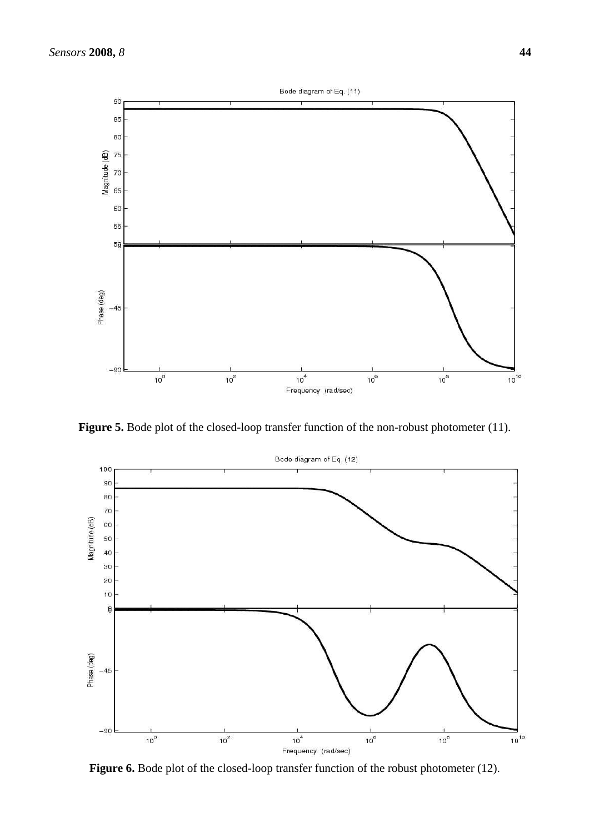

**Figure 5.** Bode plot of the closed-loop transfer function of the non-robust photometer (11).



Figure 6. Bode plot of the closed-loop transfer function of the robust photometer (12).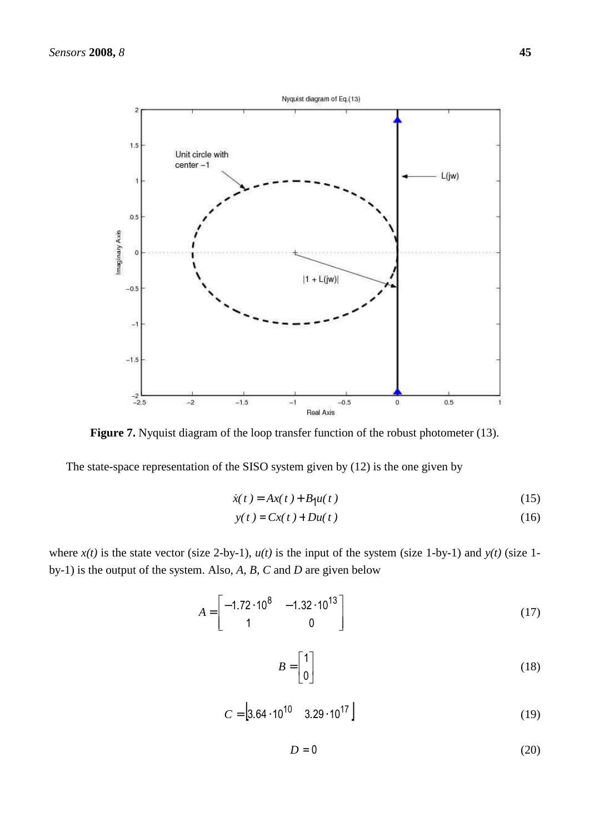

Figure 7. Nyquist diagram of the loop transfer function of the robust photometer (13).

The state-space representation of the SISO system given by (12) is the one given by

$$
\dot{x}(t) = Ax(t) + B_1 u(t)
$$
\n(15)

$$
y(t) = Cx(t) + Du(t)
$$
\n(16)

where  $x(t)$  is the state vector (size 2-by-1),  $u(t)$  is the input of the system (size 1-by-1) and  $y(t)$  (size 1by-1) is the output of the system. Also, *A*, *B*, *C* and *D* are given below

$$
A = \begin{bmatrix} -1.72 \cdot 10^8 & -1.32 \cdot 10^{13} \\ 1 & 0 \end{bmatrix}
$$
 (17)

$$
B = \begin{bmatrix} 1 \\ 0 \end{bmatrix} \tag{18}
$$

$$
C = \left[3.64 \cdot 10^{10} \quad 3.29 \cdot 10^{17}\right] \tag{19}
$$

 $D = 0$  (20)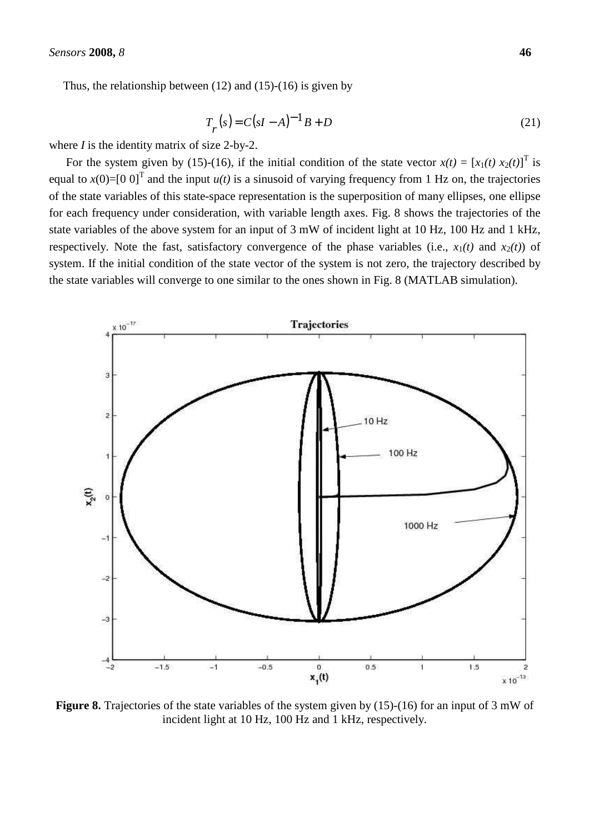Thus, the relationship between  $(12)$  and  $(15)-(16)$  is given by

$$
T_r(s) = C(sI - A)^{-1}B + D
$$
 (21)

where *I* is the identity matrix of size 2-by-2.

For the system given by (15)-(16), if the initial condition of the state vector  $x(t) = [x_1(t) x_2(t)]^T$  is equal to  $x(0)$ =[0 0]<sup>T</sup> and the input  $u(t)$  is a sinusoid of varying frequency from 1 Hz on, the trajectories of the state variables of this state-space representation is the superposition of many ellipses, one ellipse for each frequency under consideration, with variable length axes. Fig. 8 shows the trajectories of the state variables of the above system for an input of 3 mW of incident light at 10 Hz, 100 Hz and 1 kHz, respectively. Note the fast, satisfactory convergence of the phase variables (i.e.,  $x_1(t)$  and  $x_2(t)$ ) of system. If the initial condition of the state vector of the system is not zero, the trajectory described by the state variables will converge to one similar to the ones shown in Fig. 8 (MATLAB simulation).



**Figure 8.** Trajectories of the state variables of the system given by (15)-(16) for an input of 3 mW of incident light at 10 Hz, 100 Hz and 1 kHz, respectively.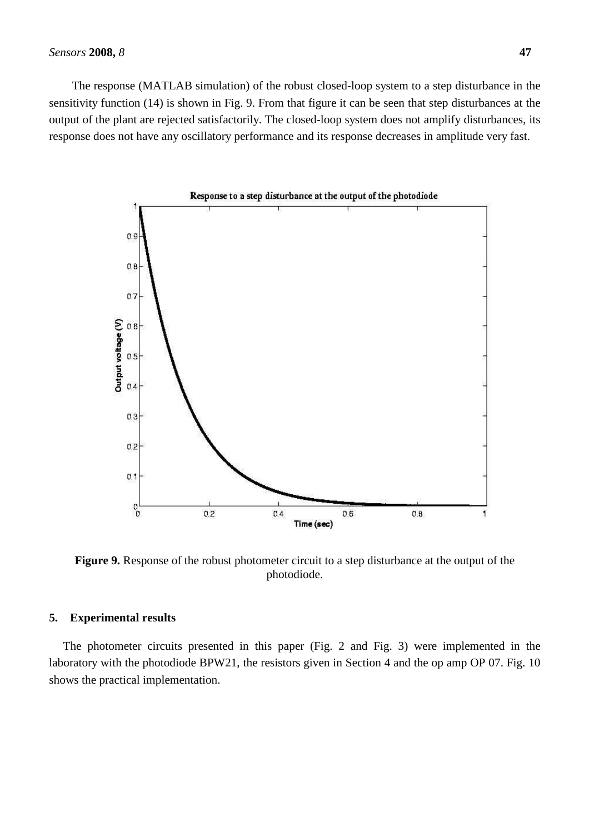The response (MATLAB simulation) of the robust closed-loop system to a step disturbance in the sensitivity function (14) is shown in Fig. 9. From that figure it can be seen that step disturbances at the output of the plant are rejected satisfactorily. The closed-loop system does not amplify disturbances, its response does not have any oscillatory performance and its response decreases in amplitude very fast.



**Figure 9.** Response of the robust photometer circuit to a step disturbance at the output of the photodiode.

## **5. Experimental results**

The photometer circuits presented in this paper (Fig. 2 and Fig. 3) were implemented in the laboratory with the photodiode BPW21, the resistors given in Section 4 and the op amp OP 07. Fig. 10 shows the practical implementation.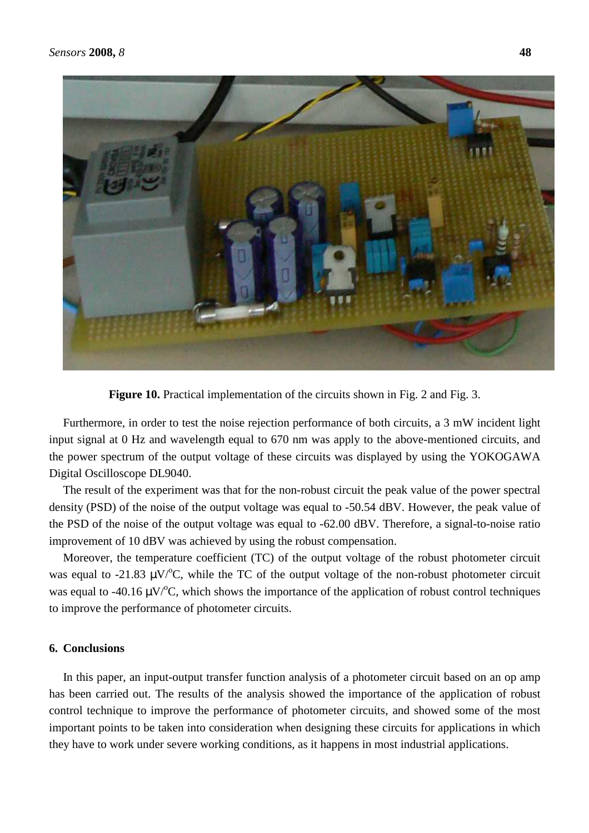

**Figure 10.** Practical implementation of the circuits shown in Fig. 2 and Fig. 3.

Furthermore, in order to test the noise rejection performance of both circuits, a 3 mW incident light input signal at 0 Hz and wavelength equal to 670 nm was apply to the above-mentioned circuits, and the power spectrum of the output voltage of these circuits was displayed by using the YOKOGAWA Digital Oscilloscope DL9040.

The result of the experiment was that for the non-robust circuit the peak value of the power spectral density (PSD) of the noise of the output voltage was equal to -50.54 dBV. However, the peak value of the PSD of the noise of the output voltage was equal to -62.00 dBV. Therefore, a signal-to-noise ratio improvement of 10 dBV was achieved by using the robust compensation.

Moreover, the temperature coefficient (TC) of the output voltage of the robust photometer circuit was equal to -21.83  $\mu$ V/<sup>o</sup>C, while the TC of the output voltage of the non-robust photometer circuit was equal to -40.16  $\mu$ V/<sup>o</sup>C, which shows the importance of the application of robust control techniques to improve the performance of photometer circuits.

# **6. Conclusions**

In this paper, an input-output transfer function analysis of a photometer circuit based on an op amp has been carried out. The results of the analysis showed the importance of the application of robust control technique to improve the performance of photometer circuits, and showed some of the most important points to be taken into consideration when designing these circuits for applications in which they have to work under severe working conditions, as it happens in most industrial applications.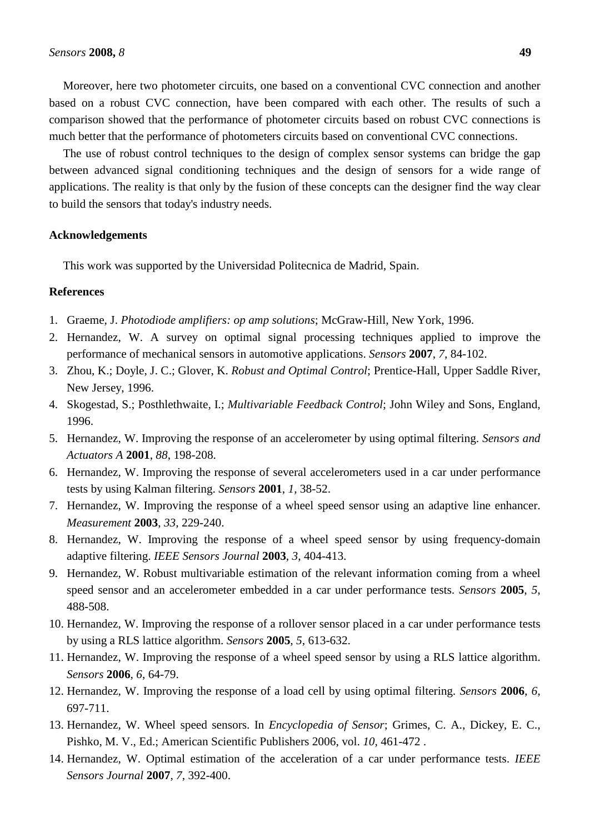Moreover, here two photometer circuits, one based on a conventional CVC connection and another based on a robust CVC connection, have been compared with each other. The results of such a comparison showed that the performance of photometer circuits based on robust CVC connections is much better that the performance of photometers circuits based on conventional CVC connections.

The use of robust control techniques to the design of complex sensor systems can bridge the gap between advanced signal conditioning techniques and the design of sensors for a wide range of applications. The reality is that only by the fusion of these concepts can the designer find the way clear to build the sensors that today's industry needs.

#### **Acknowledgements**

This work was supported by the Universidad Politecnica de Madrid, Spain.

## **References**

- 1. Graeme, J. *Photodiode amplifiers: op amp solutions*; McGraw-Hill, New York, 1996.
- 2. Hernandez, W. A survey on optimal signal processing techniques applied to improve the performance of mechanical sensors in automotive applications. *Sensors* **2007**, *7*, 84-102.
- 3. Zhou, K.; Doyle, J. C.; Glover, K. *Robust and Optimal Control*; Prentice-Hall, Upper Saddle River, New Jersey, 1996.
- 4. Skogestad, S.; Posthlethwaite, I.; *Multivariable Feedback Control*; John Wiley and Sons, England, 1996.
- 5. Hernandez, W. Improving the response of an accelerometer by using optimal filtering. *Sensors and Actuators A* **2001**, *88*, 198-208.
- 6. Hernandez, W. Improving the response of several accelerometers used in a car under performance tests by using Kalman filtering. *Sensors* **2001**, *1*, 38-52.
- 7. Hernandez, W. Improving the response of a wheel speed sensor using an adaptive line enhancer. *Measurement* **2003**, *33*, 229-240.
- 8. Hernandez, W. Improving the response of a wheel speed sensor by using frequency-domain adaptive filtering. *IEEE Sensors Journal* **2003**, *3*, 404-413.
- 9. Hernandez, W. Robust multivariable estimation of the relevant information coming from a wheel speed sensor and an accelerometer embedded in a car under performance tests. *Sensors* **2005**, *5*, 488-508.
- 10. Hernandez, W. Improving the response of a rollover sensor placed in a car under performance tests by using a RLS lattice algorithm. *Sensors* **2005**, *5*, 613-632.
- 11. Hernandez, W. Improving the response of a wheel speed sensor by using a RLS lattice algorithm. *Sensors* **2006**, *6*, 64-79.
- 12. Hernandez, W. Improving the response of a load cell by using optimal filtering. *Sensors* **2006**, *6*, 697-711.
- 13. Hernandez, W. Wheel speed sensors. In *Encyclopedia of Sensor*; Grimes, C. A., Dickey, E. C., Pishko, M. V., Ed.; American Scientific Publishers 2006, vol. *10*, 461-472 .
- 14. Hernandez, W. Optimal estimation of the acceleration of a car under performance tests. *IEEE Sensors Journal* **2007**, *7*, 392-400.